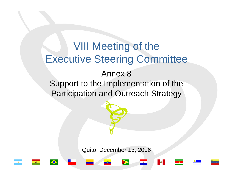# VIII Meeting of the Executive Steering Committee Annex 8

Support to the Implementation of the Participation and Outreach Strategy

Quito, December 13, 2006





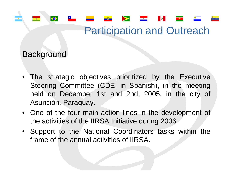### **Background**

 $\bullet$ 

- The strategic objectives prioritized by the Executive Steering Committee (CDE, in Spanish), in the meeting held on December 1st and 2nd, 2005, in the city of Asunción, Paraguay.
- One of the four main action lines in the development of the activities of the IIRSA Initiative during 2006.
- Support to the National Coordinators tasks within the frame of the annual activities of IIRSA.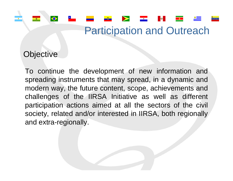#### **Objective**

 $\bigcirc$ 

To continue the development of new information and spreading instruments that may spread, in a dynamic and modern way, the future content, scope, achievements and challenges of the IIRSA Initiative as well as different participation actions aimed at all the sectors of the civil society, related and/or interested in IIRSA, both regionally and extra-regionally.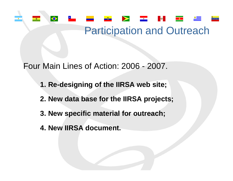#### $\bullet$  $\bullet$ **BO**

### Participation and Outreach

Four Main Lines of Action: 2006 - 2007.

- **1. Re-designing of the IIRSA web site;**
- **2. New data base for the IIRSA projects;**
- **3. New specific material for outreach;**
- **4. New IIRSA document.**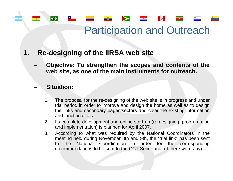

#### **1.Re-designing of the IIRSA web site**

 **Objective: To strengthen the scopes and contents of the web site, as one of the main instruments for outreach.**

#### **Situation:**

- 1. The proposal for the re-designing of the web site is in progress and under trial period in order to improve and design the home as well as to design the links and secondary pages/sectors and clear the existing infor mation and functionalities.
- 2.. Its complete development and online start-up (re-designing, programming and implementation) is planned for April 2007.
- 3. According to what was required by the National Coordinators in the meeting held during November 8th and 9th, the "trial link" has been sent to the National Coordination in order for the corresponding recommendations to be sent to the CCT Secretariat (if there were any).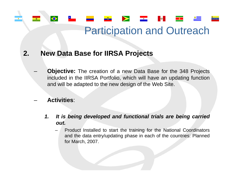#### **2. New Data Base for IIRSA Projects**

 **Objective:** The creation of a new Data Base for the 348 Projects included in the IIRSA Portfolio, which will have an updating function and will be adapted to the new design of the Web Site.

#### **Activities**:

 $\bullet$ 

- *1. It is being developed and functional trials are being carried out.*
	- Product Installed to start the training for the National Coordinators and the data entry/updating phase in each of the countries: Planned for March, 2007.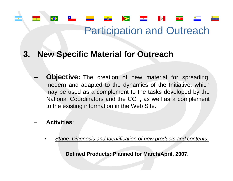<u>and</u> the state of the state of the state of the state of the state of the state of the state of the state of the state of the state of the state of the state of the state of the state of the state of the state of the stat

**BO** 

#### **3. New Specific Material for Outreach**

- **Objective:** The creation of new material for spreading, modern and adapted to the dynamics of the Initiative, which may be used as a complement to the tasks developed by the National Coordinators and the CCT, as well as a complement to the existing information in the Web Site**.**
- **Activities**:

 $\bullet$ 

–

•*Stage: Diagnosis and Identification of new products and contents:*

**Defined Products: Planned for March/April, 2007.**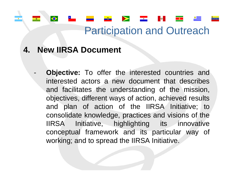#### **4. New IIRSA Document**

 $\hat{\bullet}$ 

-

 **Objective:** To offer the interested countries and interested actors a new document that describes and facilitates the understanding of the mission, objectives, different ways of action, achieved results and plan of action of the IIRSA Initiative; to consolidate knowledge, practices and visions of the IIRSA Initiative, highlighting its innovative conceptual framework and its particular way of working; and to spread the IIRSA Initiative.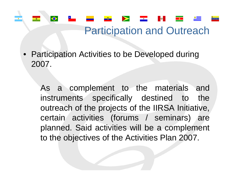• Participation Activities to be Developed during 2007.

♦

As a complement to the materials and instruments specifically destined to the outreach of the projects of the IIRSA Initiative, certain activities (forums / seminars) are planned. Said activities will be a complement to the objectives of the Activities Plan 2007.